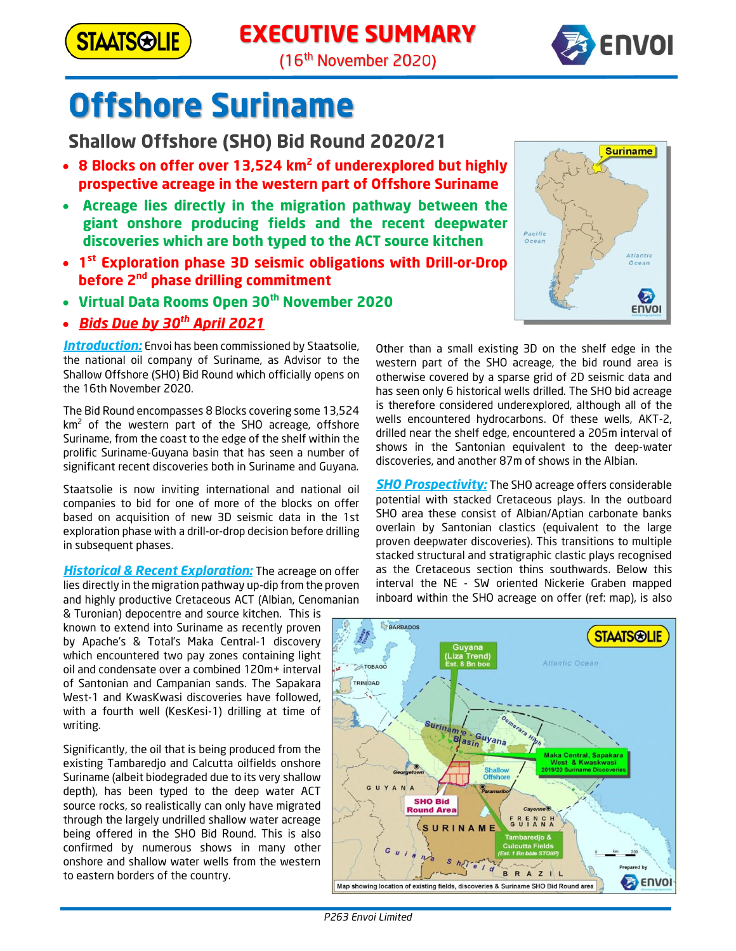

# **EXECUTIVE SUMMARY**



(16<sup>th</sup> November 2020)

# **Offshore Suriname**

**Shallow Offshore (SHO) Bid Round 2020/21**

- · **8 Blocks on offer over 13,524 km<sup>2</sup> of underexplored but highly prospective acreage in the western part of Offshore Suriname**
- · **Acreage lies directly in the migration pathway between the giant onshore producing fields and the recent deepwater discoveries which are both typed to the ACT source kitchen**
- · **1 st Exploration phase 3D seismic obligations with Drill-or-Drop before 2nd phase drilling commitment**
- · **Virtual Data Rooms Open 30th November 2020**
- · *Bids Due by 30th April 2021*

*Introduction:* Envoi has been commissioned by Staatsolie, the national oil company of Suriname, as Advisor to the Shallow Offshore (SHO) Bid Round which officially opens on the 16th November 2020.

The Bid Round encompasses 8 Blocks covering some 13,524  $km<sup>2</sup>$  of the western part of the SHO acreage, offshore Suriname, from the coast to the edge of the shelf within the prolific Suriname-Guyana basin that has seen a number of significant recent discoveries both in Suriname and Guyana.

Staatsolie is now inviting international and national oil companies to bid for one of more of the blocks on offer based on acquisition of new 3D seismic data in the 1st exploration phase with a drill-or-drop decision before drilling in subsequent phases.

*Historical & Recent Exploration:* The acreage on offer lies directly in the migration pathway up-dip from the proven and highly productive Cretaceous ACT (Albian, Cenomanian

& Turonian) depocentre and source kitchen. This is known to extend into Suriname as recently proven by Apache's & Total's Maka Central-1 discovery which encountered two pay zones containing light oil and condensate over a combined 120m+ interval of Santonian and Campanian sands. The Sapakara West-1 and KwasKwasi discoveries have followed, with a fourth well (KesKesi-1) drilling at time of writing.

Significantly, the oil that is being produced from the existing Tambaredjo and Calcutta oilfields onshore Suriname (albeit biodegraded due to its very shallow depth), has been typed to the deep water ACT source rocks, so realistically can only have migrated through the largely undrilled shallow water acreage being offered in the SHO Bid Round. This is also confirmed by numerous shows in many other onshore and shallow water wells from the western to eastern borders of the country.



Other than a small existing 3D on the shelf edge in the western part of the SHO acreage, the bid round area is otherwise covered by a sparse grid of 2D seismic data and has seen only 6 historical wells drilled. The SHO bid acreage is therefore considered underexplored, although all of the wells encountered hydrocarbons. Of these wells, AKT-2, drilled near the shelf edge, encountered a 205m interval of shows in the Santonian equivalent to the deep-water discoveries, and another 87m of shows in the Albian.

*SHO Prospectivity:* The SHO acreage offers considerable potential with stacked Cretaceous plays. In the outboard SHO area these consist of Albian/Aptian carbonate banks overlain by Santonian clastics (equivalent to the large proven deepwater discoveries). This transitions to multiple stacked structural and stratigraphic clastic plays recognised as the Cretaceous section thins southwards. Below this interval the NE - SW oriented Nickerie Graben mapped inboard within the SHO acreage on offer (ref: map), is also



*P263 Envoi Limited*